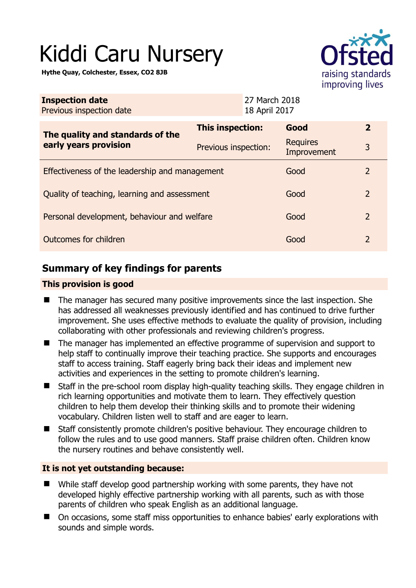# Kiddi Caru Nursery

**Hythe Quay, Colchester, Essex, CO2 8JB** 



| <b>Inspection date</b><br>Previous inspection date        | 18 April 2017        | 27 March 2018                  |                |
|-----------------------------------------------------------|----------------------|--------------------------------|----------------|
| The quality and standards of the<br>early years provision | This inspection:     | Good                           | $\mathbf{2}$   |
|                                                           | Previous inspection: | <b>Requires</b><br>Improvement | 3              |
| Effectiveness of the leadership and management            |                      | Good                           | 2              |
| Quality of teaching, learning and assessment              |                      | Good                           | 2              |
| Personal development, behaviour and welfare               |                      | Good                           | $\overline{2}$ |
| Outcomes for children                                     |                      | Good                           | 2              |

# **Summary of key findings for parents**

## **This provision is good**

- The manager has secured many positive improvements since the last inspection. She has addressed all weaknesses previously identified and has continued to drive further improvement. She uses effective methods to evaluate the quality of provision, including collaborating with other professionals and reviewing children's progress.
- The manager has implemented an effective programme of supervision and support to help staff to continually improve their teaching practice. She supports and encourages staff to access training. Staff eagerly bring back their ideas and implement new activities and experiences in the setting to promote children's learning.
- Staff in the pre-school room display high-quality teaching skills. They engage children in rich learning opportunities and motivate them to learn. They effectively question children to help them develop their thinking skills and to promote their widening vocabulary. Children listen well to staff and are eager to learn.
- Staff consistently promote children's positive behaviour. They encourage children to follow the rules and to use good manners. Staff praise children often. Children know the nursery routines and behave consistently well.

## **It is not yet outstanding because:**

- While staff develop good partnership working with some parents, they have not developed highly effective partnership working with all parents, such as with those parents of children who speak English as an additional language.
- On occasions, some staff miss opportunities to enhance babies' early explorations with sounds and simple words.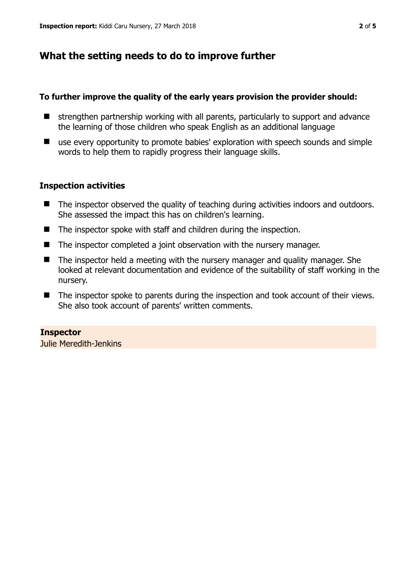# **What the setting needs to do to improve further**

#### **To further improve the quality of the early years provision the provider should:**

- $\blacksquare$  strengthen partnership working with all parents, particularly to support and advance the learning of those children who speak English as an additional language
- use every opportunity to promote babies' exploration with speech sounds and simple words to help them to rapidly progress their language skills.

## **Inspection activities**

- The inspector observed the quality of teaching during activities indoors and outdoors. She assessed the impact this has on children's learning.
- The inspector spoke with staff and children during the inspection.
- The inspector completed a joint observation with the nursery manager.
- The inspector held a meeting with the nursery manager and quality manager. She looked at relevant documentation and evidence of the suitability of staff working in the nursery.
- The inspector spoke to parents during the inspection and took account of their views. She also took account of parents' written comments.

## **Inspector**

Julie Meredith-Jenkins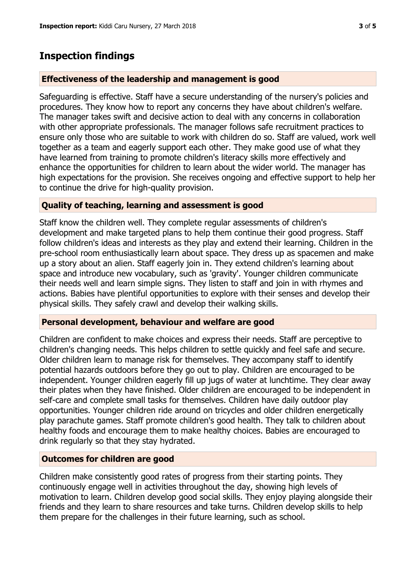## **Inspection findings**

#### **Effectiveness of the leadership and management is good**

Safeguarding is effective. Staff have a secure understanding of the nursery's policies and procedures. They know how to report any concerns they have about children's welfare. The manager takes swift and decisive action to deal with any concerns in collaboration with other appropriate professionals. The manager follows safe recruitment practices to ensure only those who are suitable to work with children do so. Staff are valued, work well together as a team and eagerly support each other. They make good use of what they have learned from training to promote children's literacy skills more effectively and enhance the opportunities for children to learn about the wider world. The manager has high expectations for the provision. She receives ongoing and effective support to help her to continue the drive for high-quality provision.

#### **Quality of teaching, learning and assessment is good**

Staff know the children well. They complete regular assessments of children's development and make targeted plans to help them continue their good progress. Staff follow children's ideas and interests as they play and extend their learning. Children in the pre-school room enthusiastically learn about space. They dress up as spacemen and make up a story about an alien. Staff eagerly join in. They extend children's learning about space and introduce new vocabulary, such as 'gravity'. Younger children communicate their needs well and learn simple signs. They listen to staff and join in with rhymes and actions. Babies have plentiful opportunities to explore with their senses and develop their physical skills. They safely crawl and develop their walking skills.

#### **Personal development, behaviour and welfare are good**

Children are confident to make choices and express their needs. Staff are perceptive to children's changing needs. This helps children to settle quickly and feel safe and secure. Older children learn to manage risk for themselves. They accompany staff to identify potential hazards outdoors before they go out to play. Children are encouraged to be independent. Younger children eagerly fill up jugs of water at lunchtime. They clear away their plates when they have finished. Older children are encouraged to be independent in self-care and complete small tasks for themselves. Children have daily outdoor play opportunities. Younger children ride around on tricycles and older children energetically play parachute games. Staff promote children's good health. They talk to children about healthy foods and encourage them to make healthy choices. Babies are encouraged to drink regularly so that they stay hydrated.

#### **Outcomes for children are good**

Children make consistently good rates of progress from their starting points. They continuously engage well in activities throughout the day, showing high levels of motivation to learn. Children develop good social skills. They enjoy playing alongside their friends and they learn to share resources and take turns. Children develop skills to help them prepare for the challenges in their future learning, such as school.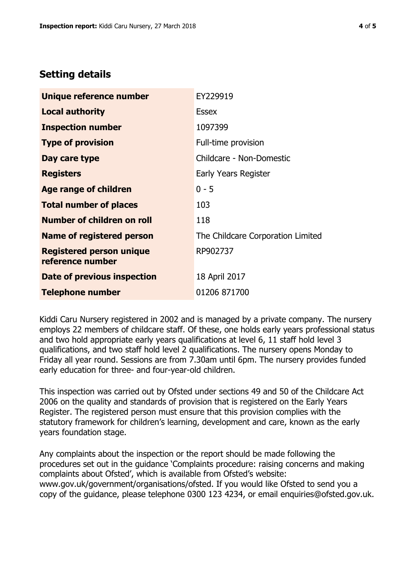# **Setting details**

| Unique reference number                             | EY229919                          |
|-----------------------------------------------------|-----------------------------------|
| <b>Local authority</b>                              | <b>Essex</b>                      |
| <b>Inspection number</b>                            | 1097399                           |
| <b>Type of provision</b>                            | Full-time provision               |
| Day care type                                       | Childcare - Non-Domestic          |
| <b>Registers</b>                                    | Early Years Register              |
| <b>Age range of children</b>                        | $0 - 5$                           |
| <b>Total number of places</b>                       | 103                               |
| Number of children on roll                          | 118                               |
| Name of registered person                           | The Childcare Corporation Limited |
| <b>Registered person unique</b><br>reference number | RP902737                          |
| Date of previous inspection                         | 18 April 2017                     |
| <b>Telephone number</b>                             | 01206 871700                      |

Kiddi Caru Nursery registered in 2002 and is managed by a private company. The nursery employs 22 members of childcare staff. Of these, one holds early years professional status and two hold appropriate early years qualifications at level 6, 11 staff hold level 3 qualifications, and two staff hold level 2 qualifications. The nursery opens Monday to Friday all year round. Sessions are from 7.30am until 6pm. The nursery provides funded early education for three- and four-year-old children.

This inspection was carried out by Ofsted under sections 49 and 50 of the Childcare Act 2006 on the quality and standards of provision that is registered on the Early Years Register. The registered person must ensure that this provision complies with the statutory framework for children's learning, development and care, known as the early years foundation stage.

Any complaints about the inspection or the report should be made following the procedures set out in the guidance 'Complaints procedure: raising concerns and making complaints about Ofsted', which is available from Ofsted's website: www.gov.uk/government/organisations/ofsted. If you would like Ofsted to send you a copy of the guidance, please telephone 0300 123 4234, or email enquiries@ofsted.gov.uk.